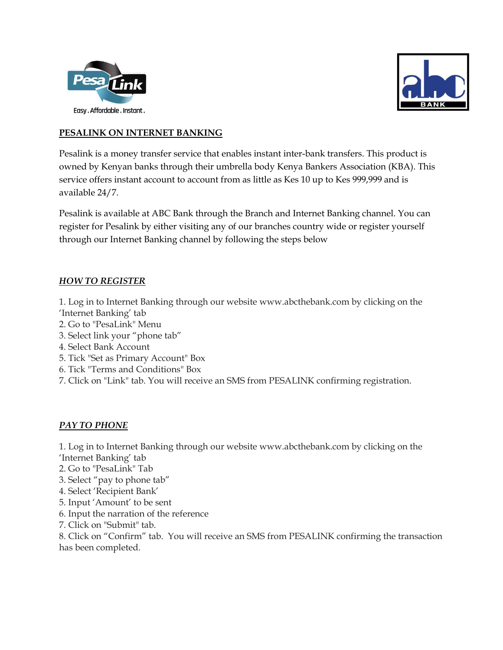



## **PESALINK ON INTERNET BANKING**

Pesalink is a money transfer service that enables instant inter-bank transfers. This product is owned by Kenyan banks through their umbrella body Kenya Bankers Association (KBA). This service offers instant account to account from as little as Kes 10 up to Kes 999,999 and is available 24/7.

Pesalink is available at ABC Bank through the Branch and Internet Banking channel. You can register for Pesalink by either visiting any of our branches country wide or register yourself through our Internet Banking channel by following the steps below

## *HOW TO REGISTER*

1. Log in to Internet Banking through our website [www.abcthebank.com](http://www.abcthebank.com/) by clicking on the 'Internet Banking' tab

- 2. Go to "PesaLink" Menu
- 3. Select link your "phone tab"
- 4. Select Bank Account
- 5. Tick "Set as Primary Account" Box
- 6. Tick "Terms and Conditions" Box
- 7. Click on "Link" tab. You will receive an SMS from PESALINK confirming registration.

## *PAY TO PHONE*

1. Log in to Internet Banking through our website [www.abcthebank.com](http://www.abcthebank.com/) by clicking on the 'Internet Banking' tab

- 2. Go to "PesaLink" Tab
- 3. Select "pay to phone tab"
- 4. Select 'Recipient Bank'
- 5. Input 'Amount' to be sent
- 6. Input the narration of the reference
- 7. Click on "Submit" tab.

8. Click on "Confirm" tab. You will receive an SMS from PESALINK confirming the transaction has been completed.